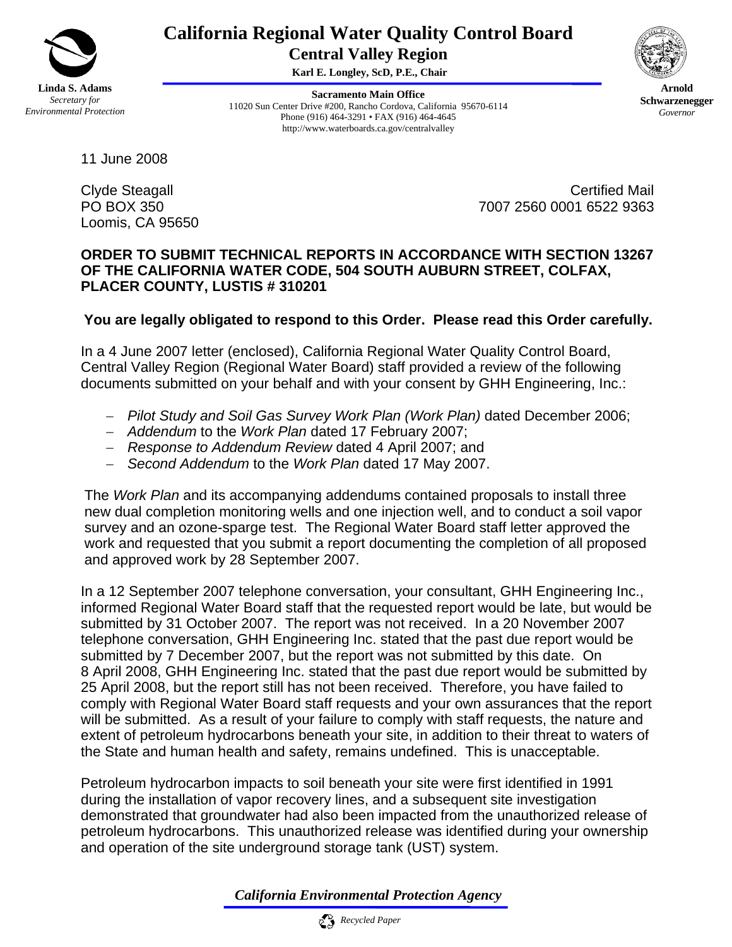

## **California Regional Water Quality Control Board Central Valley Region**

 **Karl E. Longley, ScD, P.E., Chair** 

**Sacramento Main Office** 11020 Sun Center Drive #200, Rancho Cordova, California 95670-6114 Phone (916) 464-3291 • FAX (916) 464-4645 http://www.waterboards.ca.gov/centralvalley



**Arnold Schwarzenegger** *Governor* 

11 June 2008

Loomis, CA 95650

Clyde Steagall **Calculation** Certified Mail PO BOX 350 7007 2560 0001 6522 9363

## **ORDER TO SUBMIT TECHNICAL REPORTS IN ACCORDANCE WITH SECTION 13267 OF THE CALIFORNIA WATER CODE, 504 SOUTH AUBURN STREET, COLFAX, PLACER COUNTY, LUSTIS # 310201**

## **You are legally obligated to respond to this Order. Please read this Order carefully.**

In a 4 June 2007 letter (enclosed), California Regional Water Quality Control Board, Central Valley Region (Regional Water Board) staff provided a review of the following documents submitted on your behalf and with your consent by GHH Engineering, Inc.:

- − *Pilot Study and Soil Gas Survey Work Plan (Work Plan)* dated December 2006;
- − *Addendum* to the *Work Plan* dated 17 February 2007;
- − *Response to Addendum Review* dated 4 April 2007; and
- − *Second Addendum* to the *Work Plan* dated 17 May 2007.

The *Work Plan* and its accompanying addendums contained proposals to install three new dual completion monitoring wells and one injection well, and to conduct a soil vapor survey and an ozone-sparge test. The Regional Water Board staff letter approved the work and requested that you submit a report documenting the completion of all proposed and approved work by 28 September 2007.

In a 12 September 2007 telephone conversation, your consultant, GHH Engineering Inc., informed Regional Water Board staff that the requested report would be late, but would be submitted by 31 October 2007. The report was not received. In a 20 November 2007 telephone conversation, GHH Engineering Inc. stated that the past due report would be submitted by 7 December 2007, but the report was not submitted by this date. On 8 April 2008, GHH Engineering Inc. stated that the past due report would be submitted by 25 April 2008, but the report still has not been received. Therefore, you have failed to comply with Regional Water Board staff requests and your own assurances that the report will be submitted. As a result of your failure to comply with staff requests, the nature and extent of petroleum hydrocarbons beneath your site, in addition to their threat to waters of the State and human health and safety, remains undefined. This is unacceptable.

Petroleum hydrocarbon impacts to soil beneath your site were first identified in 1991 during the installation of vapor recovery lines, and a subsequent site investigation demonstrated that groundwater had also been impacted from the unauthorized release of petroleum hydrocarbons. This unauthorized release was identified during your ownership and operation of the site underground storage tank (UST) system.

*California Environmental Protection Agency*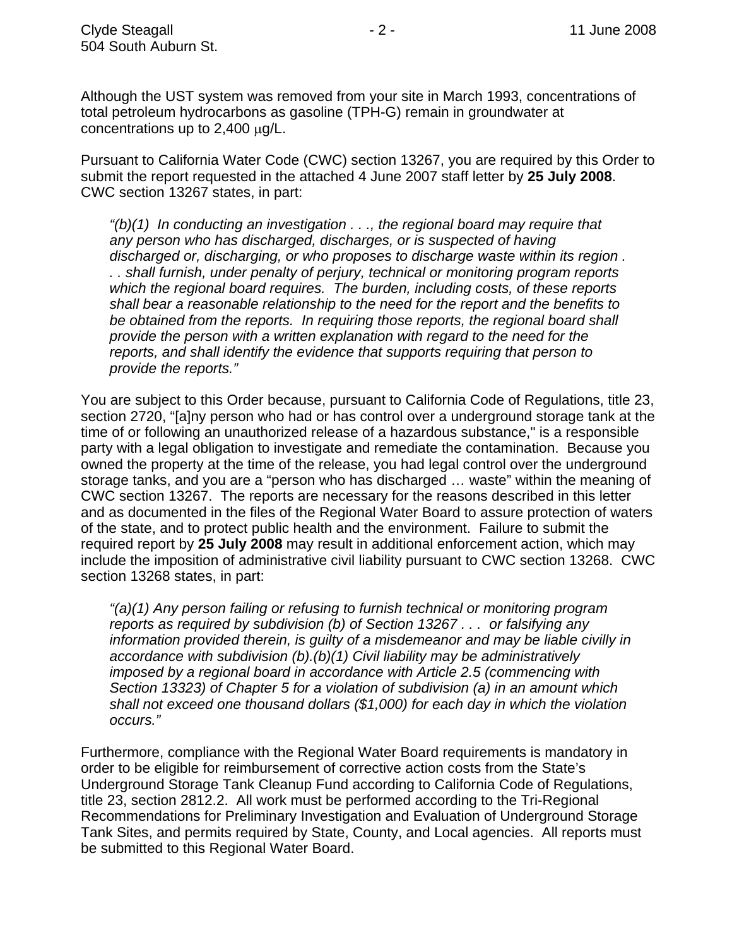Although the UST system was removed from your site in March 1993, concentrations of total petroleum hydrocarbons as gasoline (TPH-G) remain in groundwater at concentrations up to 2,400 μg/L.

Pursuant to California Water Code (CWC) section 13267, you are required by this Order to submit the report requested in the attached 4 June 2007 staff letter by **25 July 2008**. CWC section 13267 states, in part:

*"(b)(1) In conducting an investigation . . ., the regional board may require that any person who has discharged, discharges, or is suspected of having discharged or, discharging, or who proposes to discharge waste within its region . . . shall furnish, under penalty of perjury, technical or monitoring program reports which the regional board requires. The burden, including costs, of these reports shall bear a reasonable relationship to the need for the report and the benefits to be obtained from the reports. In requiring those reports, the regional board shall provide the person with a written explanation with regard to the need for the reports, and shall identify the evidence that supports requiring that person to provide the reports."* 

You are subject to this Order because, pursuant to California Code of Regulations, title 23, section 2720, "[a]ny person who had or has control over a underground storage tank at the time of or following an unauthorized release of a hazardous substance," is a responsible party with a legal obligation to investigate and remediate the contamination. Because you owned the property at the time of the release, you had legal control over the underground storage tanks, and you are a "person who has discharged … waste" within the meaning of CWC section 13267. The reports are necessary for the reasons described in this letter and as documented in the files of the Regional Water Board to assure protection of waters of the state, and to protect public health and the environment. Failure to submit the required report by **25 July 2008** may result in additional enforcement action, which may include the imposition of administrative civil liability pursuant to CWC section 13268. CWC section 13268 states, in part:

*"(a)(1) Any person failing or refusing to furnish technical or monitoring program reports as required by subdivision (b) of Section 13267 . . . or falsifying any information provided therein, is guilty of a misdemeanor and may be liable civilly in accordance with subdivision (b).(b)(1) Civil liability may be administratively imposed by a regional board in accordance with Article 2.5 (commencing with Section 13323) of Chapter 5 for a violation of subdivision (a) in an amount which shall not exceed one thousand dollars (\$1,000) for each day in which the violation occurs."* 

Furthermore, compliance with the Regional Water Board requirements is mandatory in order to be eligible for reimbursement of corrective action costs from the State's Underground Storage Tank Cleanup Fund according to California Code of Regulations, title 23, section 2812.2. All work must be performed according to the Tri-Regional Recommendations for Preliminary Investigation and Evaluation of Underground Storage Tank Sites, and permits required by State, County, and Local agencies. All reports must be submitted to this Regional Water Board.